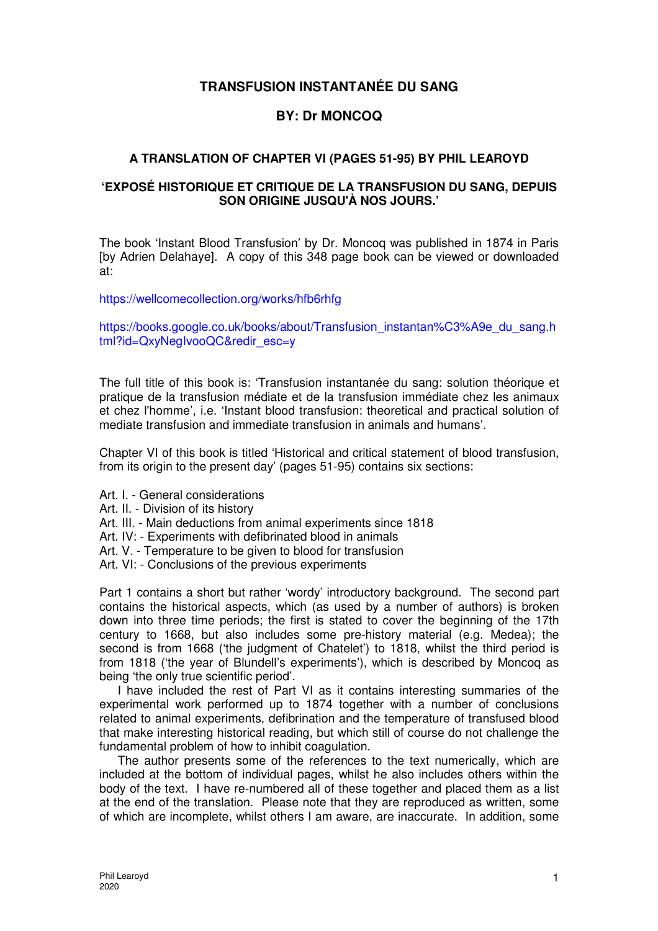# **TRANSFUSION INSTANTANÉE DU SANG**

# **BY: Dr MONCOQ**

# **A TRANSLATION OF CHAPTER VI (PAGES 51-95) BY PHIL LEAROYD**

## **'EXPOSÉ HISTORIQUE ET CRITIQUE DE LA TRANSFUSION DU SANG, DEPUIS SON ORIGINE JUSQU'À NOS JOURS.'**

The book 'Instant Blood Transfusion' by Dr. Moncoq was published in 1874 in Paris [by Adrien Delahaye]. A copy of this 348 page book can be viewed or downloaded at:

https://wellcomecollection.org/works/hfb6rhfg

https://books.google.co.uk/books/about/Transfusion\_instantan%C3%A9e\_du\_sang.h tml?id=QxyNegIvooQC&redir\_esc=y

The full title of this book is: 'Transfusion instantanée du sang: solution théorique et pratique de la transfusion médiate et de la transfusion immédiate chez les animaux et chez l'homme', i.e. 'Instant blood transfusion: theoretical and practical solution of mediate transfusion and immediate transfusion in animals and humans'.

Chapter VI of this book is titled 'Historical and critical statement of blood transfusion, from its origin to the present day' (pages 51-95) contains six sections:

Art. I. - General considerations

- Art. II. Division of its history
- Art. III. Main deductions from animal experiments since 1818
- Art. IV: Experiments with defibrinated blood in animals
- Art. V. Temperature to be given to blood for transfusion
- Art. VI: Conclusions of the previous experiments

Part 1 contains a short but rather 'wordy' introductory background. The second part contains the historical aspects, which (as used by a number of authors) is broken down into three time periods; the first is stated to cover the beginning of the 17th century to 1668, but also includes some pre-history material (e.g. Medea); the second is from 1668 ('the judgment of Chatelet') to 1818, whilst the third period is from 1818 ('the year of Blundell's experiments'), which is described by Moncoq as being 'the only true scientific period'.

I have included the rest of Part VI as it contains interesting summaries of the experimental work performed up to 1874 together with a number of conclusions related to animal experiments, defibrination and the temperature of transfused blood that make interesting historical reading, but which still of course do not challenge the fundamental problem of how to inhibit coagulation.

The author presents some of the references to the text numerically, which are included at the bottom of individual pages, whilst he also includes others within the body of the text. I have re-numbered all of these together and placed them as a list at the end of the translation. Please note that they are reproduced as written, some of which are incomplete, whilst others I am aware, are inaccurate. In addition, some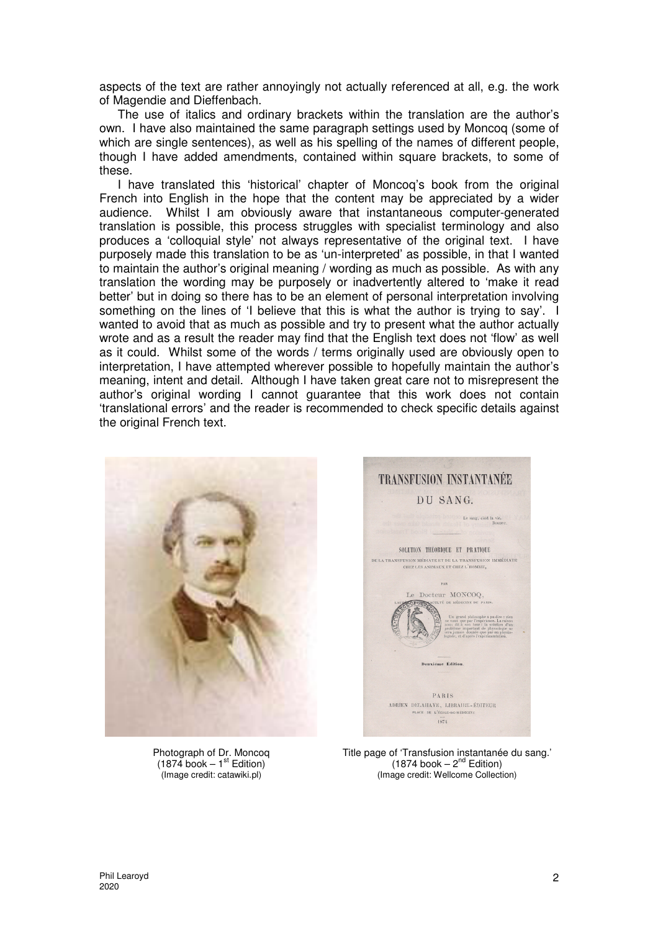aspects of the text are rather annoyingly not actually referenced at all, e.g. the work of Magendie and Dieffenbach.

The use of italics and ordinary brackets within the translation are the author's own. I have also maintained the same paragraph settings used by Moncoq (some of which are single sentences), as well as his spelling of the names of different people. though I have added amendments, contained within square brackets, to some of these.

I have translated this 'historical' chapter of Moncoq's book from the original French into English in the hope that the content may be appreciated by a wider audience. Whilst I am obviously aware that instantaneous computer-generated translation is possible, this process struggles with specialist terminology and also produces a 'colloquial style' not always representative of the original text. I have purposely made this translation to be as 'un-interpreted' as possible, in that I wanted to maintain the author's original meaning / wording as much as possible. As with any translation the wording may be purposely or inadvertently altered to 'make it read better' but in doing so there has to be an element of personal interpretation involving something on the lines of 'I believe that this is what the author is trying to say'. I wanted to avoid that as much as possible and try to present what the author actually wrote and as a result the reader may find that the English text does not 'flow' as well as it could. Whilst some of the words / terms originally used are obviously open to interpretation, I have attempted wherever possible to hopefully maintain the author's meaning, intent and detail. Although I have taken great care not to misrepresent the author's original wording I cannot guarantee that this work does not contain 'translational errors' and the reader is recommended to check specific details against the original French text.





Photograph of Dr. Moncoq  $(1874 \text{ book} - 1^{\text{st}} \text{ Edition})$ (Image credit: catawiki.pl)

Title page of 'Transfusion instantanée du sang.'  $(1874 \text{ book} - 2^{\text{nd}} \text{ Edition})$ (Image credit: Wellcome Collection)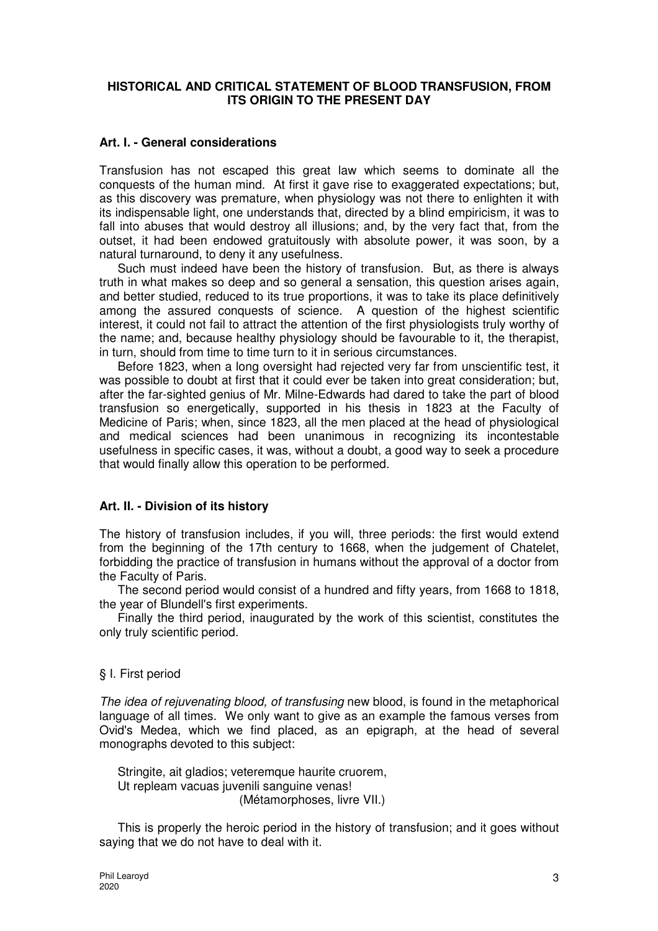## **HISTORICAL AND CRITICAL STATEMENT OF BLOOD TRANSFUSION, FROM ITS ORIGIN TO THE PRESENT DAY**

## **Art. I. - General considerations**

Transfusion has not escaped this great law which seems to dominate all the conquests of the human mind. At first it gave rise to exaggerated expectations; but, as this discovery was premature, when physiology was not there to enlighten it with its indispensable light, one understands that, directed by a blind empiricism, it was to fall into abuses that would destroy all illusions; and, by the very fact that, from the outset, it had been endowed gratuitously with absolute power, it was soon, by a natural turnaround, to deny it any usefulness.

Such must indeed have been the history of transfusion. But, as there is always truth in what makes so deep and so general a sensation, this question arises again, and better studied, reduced to its true proportions, it was to take its place definitively among the assured conquests of science. A question of the highest scientific interest, it could not fail to attract the attention of the first physiologists truly worthy of the name; and, because healthy physiology should be favourable to it, the therapist, in turn, should from time to time turn to it in serious circumstances.

Before 1823, when a long oversight had rejected very far from unscientific test, it was possible to doubt at first that it could ever be taken into great consideration; but, after the far-sighted genius of Mr. Milne-Edwards had dared to take the part of blood transfusion so energetically, supported in his thesis in 1823 at the Faculty of Medicine of Paris; when, since 1823, all the men placed at the head of physiological and medical sciences had been unanimous in recognizing its incontestable usefulness in specific cases, it was, without a doubt, a good way to seek a procedure that would finally allow this operation to be performed.

## **Art. II. - Division of its history**

The history of transfusion includes, if you will, three periods: the first would extend from the beginning of the 17th century to 1668, when the judgement of Chatelet, forbidding the practice of transfusion in humans without the approval of a doctor from the Faculty of Paris.

The second period would consist of a hundred and fifty years, from 1668 to 1818, the year of Blundell's first experiments.

Finally the third period, inaugurated by the work of this scientist, constitutes the only truly scientific period.

### § I. First period

The idea of rejuvenating blood, of transfusing new blood, is found in the metaphorical language of all times. We only want to give as an example the famous verses from Ovid's Medea, which we find placed, as an epigraph, at the head of several monographs devoted to this subject:

Stringite, ait gladios; veteremque haurite cruorem, Ut repleam vacuas juvenili sanguine venas! (Métamorphoses, livre VII.)

This is properly the heroic period in the history of transfusion; and it goes without saying that we do not have to deal with it.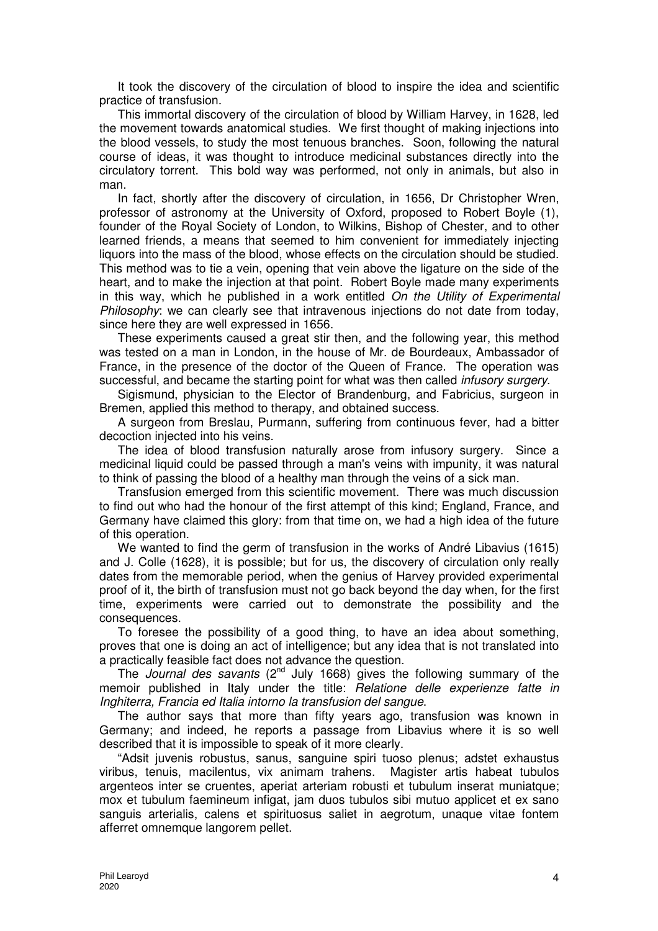It took the discovery of the circulation of blood to inspire the idea and scientific practice of transfusion.

This immortal discovery of the circulation of blood by William Harvey, in 1628, led the movement towards anatomical studies. We first thought of making injections into the blood vessels, to study the most tenuous branches. Soon, following the natural course of ideas, it was thought to introduce medicinal substances directly into the circulatory torrent. This bold way was performed, not only in animals, but also in man.

In fact, shortly after the discovery of circulation, in 1656, Dr Christopher Wren, professor of astronomy at the University of Oxford, proposed to Robert Boyle (1), founder of the Royal Society of London, to Wilkins, Bishop of Chester, and to other learned friends, a means that seemed to him convenient for immediately injecting liquors into the mass of the blood, whose effects on the circulation should be studied. This method was to tie a vein, opening that vein above the ligature on the side of the heart, and to make the injection at that point. Robert Boyle made many experiments in this way, which he published in a work entitled On the Utility of Experimental Philosophy: we can clearly see that intravenous injections do not date from today, since here they are well expressed in 1656.

These experiments caused a great stir then, and the following year, this method was tested on a man in London, in the house of Mr. de Bourdeaux, Ambassador of France, in the presence of the doctor of the Queen of France. The operation was successful, and became the starting point for what was then called *infusory surgery*.

Sigismund, physician to the Elector of Brandenburg, and Fabricius, surgeon in Bremen, applied this method to therapy, and obtained success.

A surgeon from Breslau, Purmann, suffering from continuous fever, had a bitter decoction injected into his veins.

The idea of blood transfusion naturally arose from infusory surgery. Since a medicinal liquid could be passed through a man's veins with impunity, it was natural to think of passing the blood of a healthy man through the veins of a sick man.

Transfusion emerged from this scientific movement. There was much discussion to find out who had the honour of the first attempt of this kind; England, France, and Germany have claimed this glory: from that time on, we had a high idea of the future of this operation.

We wanted to find the germ of transfusion in the works of André Libavius (1615) and J. Colle (1628), it is possible; but for us, the discovery of circulation only really dates from the memorable period, when the genius of Harvey provided experimental proof of it, the birth of transfusion must not go back beyond the day when, for the first time, experiments were carried out to demonstrate the possibility and the consequences.

To foresee the possibility of a good thing, to have an idea about something, proves that one is doing an act of intelligence; but any idea that is not translated into a practically feasible fact does not advance the question.

The Journal des savants ( $2<sup>nd</sup>$  July 1668) gives the following summary of the memoir published in Italy under the title: Relatione delle experienze fatte in Inghiterra, Francia ed Italia intorno la transfusion del sangue.

The author says that more than fifty years ago, transfusion was known in Germany; and indeed, he reports a passage from Libavius where it is so well described that it is impossible to speak of it more clearly.

"Adsit juvenis robustus, sanus, sanguine spiri tuoso plenus; adstet exhaustus viribus, tenuis, macilentus, vix animam trahens. Magister artis habeat tubulos argenteos inter se cruentes, aperiat arteriam robusti et tubulum inserat muniatque; mox et tubulum faemineum infigat, jam duos tubulos sibi mutuo applicet et ex sano sanguis arterialis, calens et spirituosus saliet in aegrotum, unaque vitae fontem afferret omnemque langorem pellet.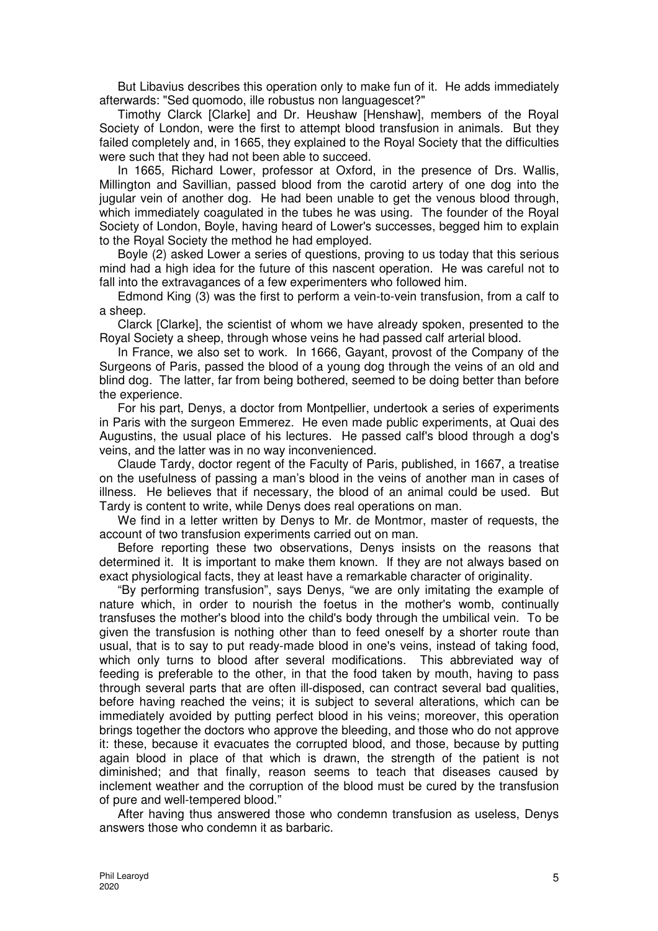But Libavius describes this operation only to make fun of it. He adds immediately afterwards: "Sed quomodo, ille robustus non languagescet?"

Timothy Clarck [Clarke] and Dr. Heushaw [Henshaw], members of the Royal Society of London, were the first to attempt blood transfusion in animals. But they failed completely and, in 1665, they explained to the Royal Society that the difficulties were such that they had not been able to succeed.

In 1665, Richard Lower, professor at Oxford, in the presence of Drs. Wallis, Millington and Savillian, passed blood from the carotid artery of one dog into the jugular vein of another dog. He had been unable to get the venous blood through, which immediately coagulated in the tubes he was using. The founder of the Royal Society of London, Boyle, having heard of Lower's successes, begged him to explain to the Royal Society the method he had employed.

Boyle (2) asked Lower a series of questions, proving to us today that this serious mind had a high idea for the future of this nascent operation. He was careful not to fall into the extravagances of a few experimenters who followed him.

Edmond King (3) was the first to perform a vein-to-vein transfusion, from a calf to a sheep.

Clarck [Clarke], the scientist of whom we have already spoken, presented to the Royal Society a sheep, through whose veins he had passed calf arterial blood.

In France, we also set to work. In 1666, Gayant, provost of the Company of the Surgeons of Paris, passed the blood of a young dog through the veins of an old and blind dog. The latter, far from being bothered, seemed to be doing better than before the experience.

For his part, Denys, a doctor from Montpellier, undertook a series of experiments in Paris with the surgeon Emmerez. He even made public experiments, at Quai des Augustins, the usual place of his lectures. He passed calf's blood through a dog's veins, and the latter was in no way inconvenienced.

Claude Tardy, doctor regent of the Faculty of Paris, published, in 1667, a treatise on the usefulness of passing a man's blood in the veins of another man in cases of illness. He believes that if necessary, the blood of an animal could be used. But Tardy is content to write, while Denys does real operations on man.

We find in a letter written by Denys to Mr. de Montmor, master of requests, the account of two transfusion experiments carried out on man.

Before reporting these two observations, Denys insists on the reasons that determined it. It is important to make them known. If they are not always based on exact physiological facts, they at least have a remarkable character of originality.

"By performing transfusion", says Denys, "we are only imitating the example of nature which, in order to nourish the foetus in the mother's womb, continually transfuses the mother's blood into the child's body through the umbilical vein. To be given the transfusion is nothing other than to feed oneself by a shorter route than usual, that is to say to put ready-made blood in one's veins, instead of taking food, which only turns to blood after several modifications. This abbreviated way of feeding is preferable to the other, in that the food taken by mouth, having to pass through several parts that are often ill-disposed, can contract several bad qualities, before having reached the veins; it is subject to several alterations, which can be immediately avoided by putting perfect blood in his veins; moreover, this operation brings together the doctors who approve the bleeding, and those who do not approve it: these, because it evacuates the corrupted blood, and those, because by putting again blood in place of that which is drawn, the strength of the patient is not diminished; and that finally, reason seems to teach that diseases caused by inclement weather and the corruption of the blood must be cured by the transfusion of pure and well-tempered blood."

After having thus answered those who condemn transfusion as useless, Denys answers those who condemn it as barbaric.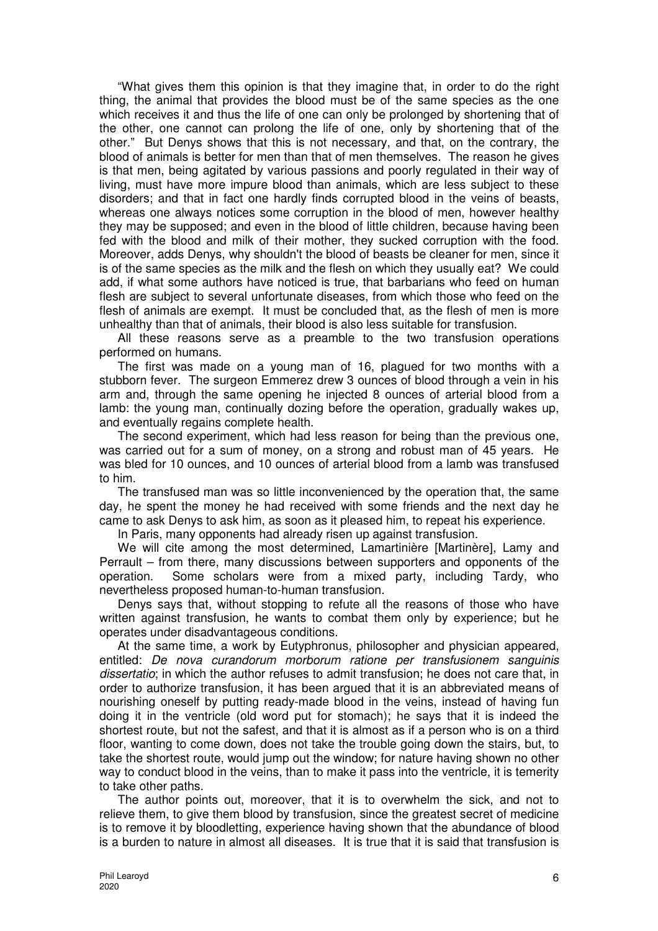"What gives them this opinion is that they imagine that, in order to do the right thing, the animal that provides the blood must be of the same species as the one which receives it and thus the life of one can only be prolonged by shortening that of the other, one cannot can prolong the life of one, only by shortening that of the other." But Denys shows that this is not necessary, and that, on the contrary, the blood of animals is better for men than that of men themselves. The reason he gives is that men, being agitated by various passions and poorly regulated in their way of living, must have more impure blood than animals, which are less subject to these disorders; and that in fact one hardly finds corrupted blood in the veins of beasts, whereas one always notices some corruption in the blood of men, however healthy they may be supposed; and even in the blood of little children, because having been fed with the blood and milk of their mother, they sucked corruption with the food. Moreover, adds Denys, why shouldn't the blood of beasts be cleaner for men, since it is of the same species as the milk and the flesh on which they usually eat? We could add, if what some authors have noticed is true, that barbarians who feed on human flesh are subject to several unfortunate diseases, from which those who feed on the flesh of animals are exempt. It must be concluded that, as the flesh of men is more unhealthy than that of animals, their blood is also less suitable for transfusion.

All these reasons serve as a preamble to the two transfusion operations performed on humans.

The first was made on a young man of 16, plagued for two months with a stubborn fever. The surgeon Emmerez drew 3 ounces of blood through a vein in his arm and, through the same opening he injected 8 ounces of arterial blood from a lamb: the young man, continually dozing before the operation, gradually wakes up, and eventually regains complete health.

The second experiment, which had less reason for being than the previous one, was carried out for a sum of money, on a strong and robust man of 45 years. He was bled for 10 ounces, and 10 ounces of arterial blood from a lamb was transfused to him.

The transfused man was so little inconvenienced by the operation that, the same day, he spent the money he had received with some friends and the next day he came to ask Denys to ask him, as soon as it pleased him, to repeat his experience.

In Paris, many opponents had already risen up against transfusion.

We will cite among the most determined, Lamartinière [Martinère], Lamy and Perrault – from there, many discussions between supporters and opponents of the operation. Some scholars were from a mixed party, including Tardy, who nevertheless proposed human-to-human transfusion.

Denys says that, without stopping to refute all the reasons of those who have written against transfusion, he wants to combat them only by experience; but he operates under disadvantageous conditions.

At the same time, a work by Eutyphronus, philosopher and physician appeared, entitled: De nova curandorum morborum ratione per transfusionem sanguinis dissertatio; in which the author refuses to admit transfusion; he does not care that, in order to authorize transfusion, it has been argued that it is an abbreviated means of nourishing oneself by putting ready-made blood in the veins, instead of having fun doing it in the ventricle (old word put for stomach); he says that it is indeed the shortest route, but not the safest, and that it is almost as if a person who is on a third floor, wanting to come down, does not take the trouble going down the stairs, but, to take the shortest route, would jump out the window; for nature having shown no other way to conduct blood in the veins, than to make it pass into the ventricle, it is temerity to take other paths.

The author points out, moreover, that it is to overwhelm the sick, and not to relieve them, to give them blood by transfusion, since the greatest secret of medicine is to remove it by bloodletting, experience having shown that the abundance of blood is a burden to nature in almost all diseases. It is true that it is said that transfusion is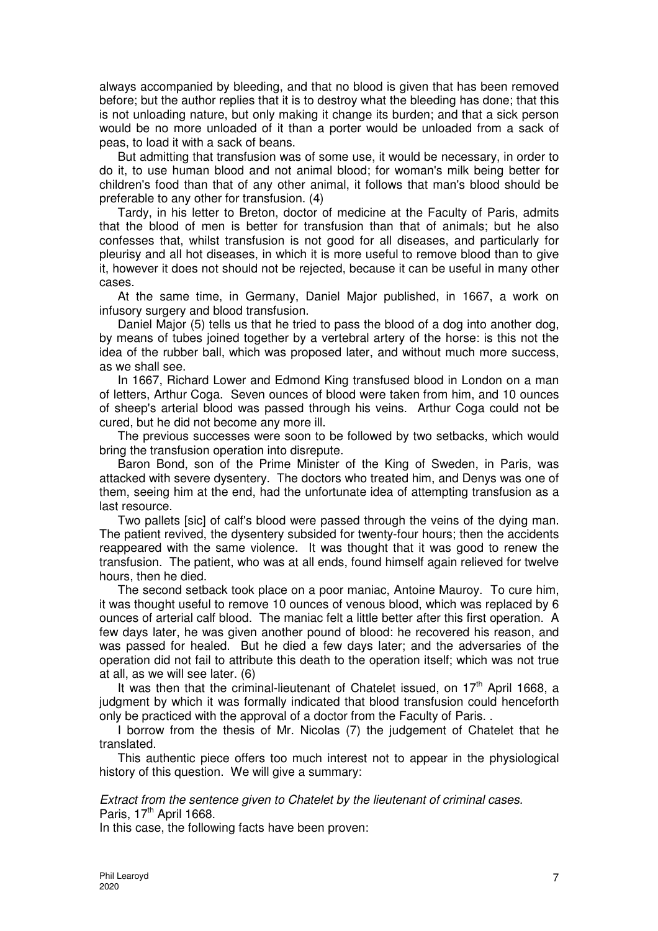always accompanied by bleeding, and that no blood is given that has been removed before; but the author replies that it is to destroy what the bleeding has done; that this is not unloading nature, but only making it change its burden; and that a sick person would be no more unloaded of it than a porter would be unloaded from a sack of peas, to load it with a sack of beans.

But admitting that transfusion was of some use, it would be necessary, in order to do it, to use human blood and not animal blood; for woman's milk being better for children's food than that of any other animal, it follows that man's blood should be preferable to any other for transfusion. (4)

Tardy, in his letter to Breton, doctor of medicine at the Faculty of Paris, admits that the blood of men is better for transfusion than that of animals; but he also confesses that, whilst transfusion is not good for all diseases, and particularly for pleurisy and all hot diseases, in which it is more useful to remove blood than to give it, however it does not should not be rejected, because it can be useful in many other cases.

At the same time, in Germany, Daniel Major published, in 1667, a work on infusory surgery and blood transfusion.

Daniel Major (5) tells us that he tried to pass the blood of a dog into another dog, by means of tubes joined together by a vertebral artery of the horse: is this not the idea of the rubber ball, which was proposed later, and without much more success, as we shall see.

In 1667, Richard Lower and Edmond King transfused blood in London on a man of letters, Arthur Coga. Seven ounces of blood were taken from him, and 10 ounces of sheep's arterial blood was passed through his veins. Arthur Coga could not be cured, but he did not become any more ill.

The previous successes were soon to be followed by two setbacks, which would bring the transfusion operation into disrepute.

Baron Bond, son of the Prime Minister of the King of Sweden, in Paris, was attacked with severe dysentery. The doctors who treated him, and Denys was one of them, seeing him at the end, had the unfortunate idea of attempting transfusion as a last resource.

Two pallets [sic] of calf's blood were passed through the veins of the dying man. The patient revived, the dysentery subsided for twenty-four hours; then the accidents reappeared with the same violence. It was thought that it was good to renew the transfusion. The patient, who was at all ends, found himself again relieved for twelve hours, then he died.

The second setback took place on a poor maniac, Antoine Mauroy. To cure him, it was thought useful to remove 10 ounces of venous blood, which was replaced by 6 ounces of arterial calf blood. The maniac felt a little better after this first operation. A few days later, he was given another pound of blood: he recovered his reason, and was passed for healed. But he died a few days later; and the adversaries of the operation did not fail to attribute this death to the operation itself; which was not true at all, as we will see later. (6)

It was then that the criminal-lieutenant of Chatelet issued, on  $17<sup>th</sup>$  April 1668, a judgment by which it was formally indicated that blood transfusion could henceforth only be practiced with the approval of a doctor from the Faculty of Paris. .

I borrow from the thesis of Mr. Nicolas (7) the judgement of Chatelet that he translated.

This authentic piece offers too much interest not to appear in the physiological history of this question. We will give a summary:

Extract from the sentence given to Chatelet by the lieutenant of criminal cases. Paris,  $17<sup>th</sup>$  April 1668.

In this case, the following facts have been proven: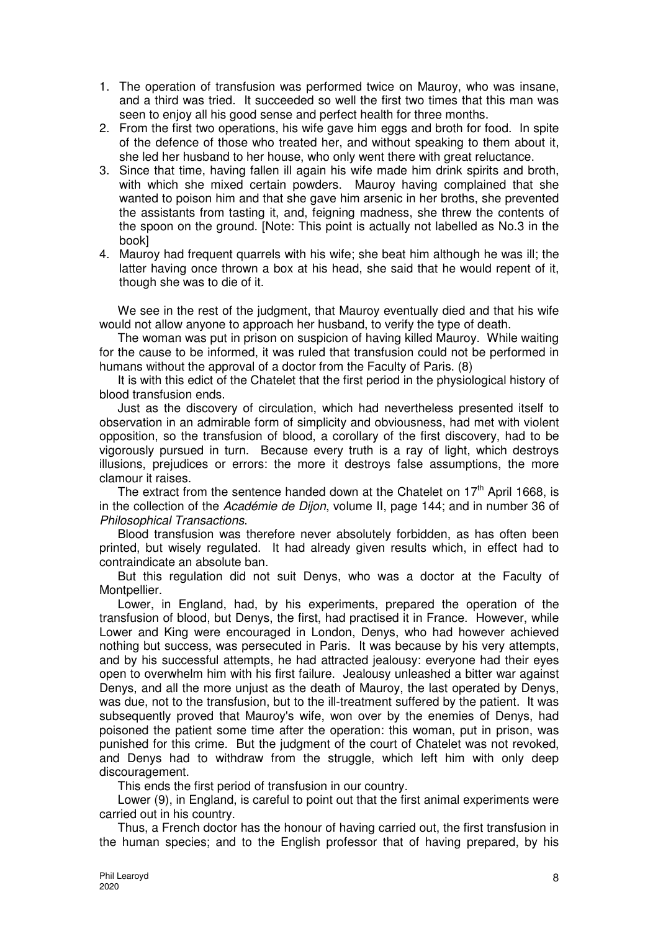- 1. The operation of transfusion was performed twice on Mauroy, who was insane, and a third was tried. It succeeded so well the first two times that this man was seen to enjoy all his good sense and perfect health for three months.
- 2. From the first two operations, his wife gave him eggs and broth for food. In spite of the defence of those who treated her, and without speaking to them about it, she led her husband to her house, who only went there with great reluctance.
- 3. Since that time, having fallen ill again his wife made him drink spirits and broth, with which she mixed certain powders. Mauroy having complained that she wanted to poison him and that she gave him arsenic in her broths, she prevented the assistants from tasting it, and, feigning madness, she threw the contents of the spoon on the ground. [Note: This point is actually not labelled as No.3 in the book]
- 4. Mauroy had frequent quarrels with his wife; she beat him although he was ill; the latter having once thrown a box at his head, she said that he would repent of it, though she was to die of it.

We see in the rest of the judgment, that Mauroy eventually died and that his wife would not allow anyone to approach her husband, to verify the type of death.

The woman was put in prison on suspicion of having killed Mauroy. While waiting for the cause to be informed, it was ruled that transfusion could not be performed in humans without the approval of a doctor from the Faculty of Paris. (8)

It is with this edict of the Chatelet that the first period in the physiological history of blood transfusion ends.

Just as the discovery of circulation, which had nevertheless presented itself to observation in an admirable form of simplicity and obviousness, had met with violent opposition, so the transfusion of blood, a corollary of the first discovery, had to be vigorously pursued in turn. Because every truth is a ray of light, which destroys illusions, prejudices or errors: the more it destroys false assumptions, the more clamour it raises.

The extract from the sentence handed down at the Chatelet on  $17<sup>th</sup>$  April 1668, is in the collection of the Académie de Dijon, volume II, page 144; and in number 36 of Philosophical Transactions.

Blood transfusion was therefore never absolutely forbidden, as has often been printed, but wisely regulated. It had already given results which, in effect had to contraindicate an absolute ban.

But this regulation did not suit Denys, who was a doctor at the Faculty of Montpellier.

Lower, in England, had, by his experiments, prepared the operation of the transfusion of blood, but Denys, the first, had practised it in France. However, while Lower and King were encouraged in London, Denys, who had however achieved nothing but success, was persecuted in Paris. It was because by his very attempts, and by his successful attempts, he had attracted jealousy: everyone had their eyes open to overwhelm him with his first failure. Jealousy unleashed a bitter war against Denys, and all the more unjust as the death of Mauroy, the last operated by Denys, was due, not to the transfusion, but to the ill-treatment suffered by the patient. It was subsequently proved that Mauroy's wife, won over by the enemies of Denys, had poisoned the patient some time after the operation: this woman, put in prison, was punished for this crime. But the judgment of the court of Chatelet was not revoked, and Denys had to withdraw from the struggle, which left him with only deep discouragement.

This ends the first period of transfusion in our country.

Lower (9), in England, is careful to point out that the first animal experiments were carried out in his country.

Thus, a French doctor has the honour of having carried out, the first transfusion in the human species; and to the English professor that of having prepared, by his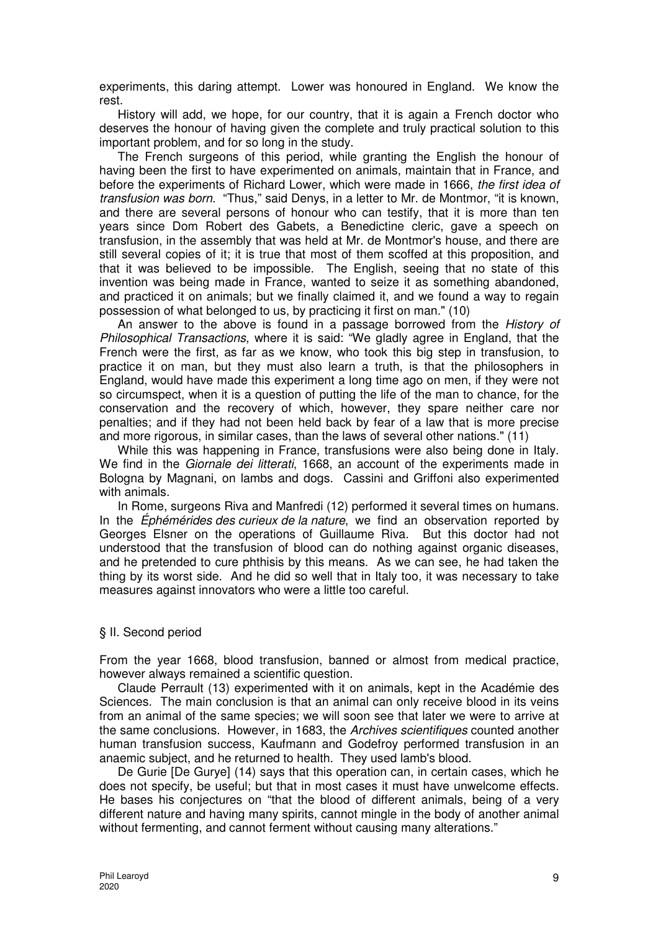experiments, this daring attempt. Lower was honoured in England. We know the rest.

History will add, we hope, for our country, that it is again a French doctor who deserves the honour of having given the complete and truly practical solution to this important problem, and for so long in the study.

The French surgeons of this period, while granting the English the honour of having been the first to have experimented on animals, maintain that in France, and before the experiments of Richard Lower, which were made in 1666, the first idea of transfusion was born. "Thus," said Denys, in a letter to Mr. de Montmor, "it is known, and there are several persons of honour who can testify, that it is more than ten years since Dom Robert des Gabets, a Benedictine cleric, gave a speech on transfusion, in the assembly that was held at Mr. de Montmor's house, and there are still several copies of it; it is true that most of them scoffed at this proposition, and that it was believed to be impossible. The English, seeing that no state of this invention was being made in France, wanted to seize it as something abandoned, and practiced it on animals; but we finally claimed it, and we found a way to regain possession of what belonged to us, by practicing it first on man." (10)

An answer to the above is found in a passage borrowed from the History of Philosophical Transactions, where it is said: "We gladly agree in England, that the French were the first, as far as we know, who took this big step in transfusion, to practice it on man, but they must also learn a truth, is that the philosophers in England, would have made this experiment a long time ago on men, if they were not so circumspect, when it is a question of putting the life of the man to chance, for the conservation and the recovery of which, however, they spare neither care nor penalties; and if they had not been held back by fear of a law that is more precise and more rigorous, in similar cases, than the laws of several other nations." (11)

While this was happening in France, transfusions were also being done in Italy. We find in the *Giornale dei litterati*, 1668, an account of the experiments made in Bologna by Magnani, on lambs and dogs. Cassini and Griffoni also experimented with animals.

In Rome, surgeons Riva and Manfredi (12) performed it several times on humans. In the Ephémérides des curieux de la nature, we find an observation reported by Georges Elsner on the operations of Guillaume Riva. But this doctor had not understood that the transfusion of blood can do nothing against organic diseases, and he pretended to cure phthisis by this means. As we can see, he had taken the thing by its worst side. And he did so well that in Italy too, it was necessary to take measures against innovators who were a little too careful.

#### § II. Second period

From the year 1668, blood transfusion, banned or almost from medical practice, however always remained a scientific question.

Claude Perrault (13) experimented with it on animals, kept in the Académie des Sciences. The main conclusion is that an animal can only receive blood in its veins from an animal of the same species; we will soon see that later we were to arrive at the same conclusions. However, in 1683, the Archives scientifiques counted another human transfusion success, Kaufmann and Godefroy performed transfusion in an anaemic subject, and he returned to health. They used lamb's blood.

De Gurie [De Gurye] (14) says that this operation can, in certain cases, which he does not specify, be useful; but that in most cases it must have unwelcome effects. He bases his conjectures on "that the blood of different animals, being of a very different nature and having many spirits, cannot mingle in the body of another animal without fermenting, and cannot ferment without causing many alterations."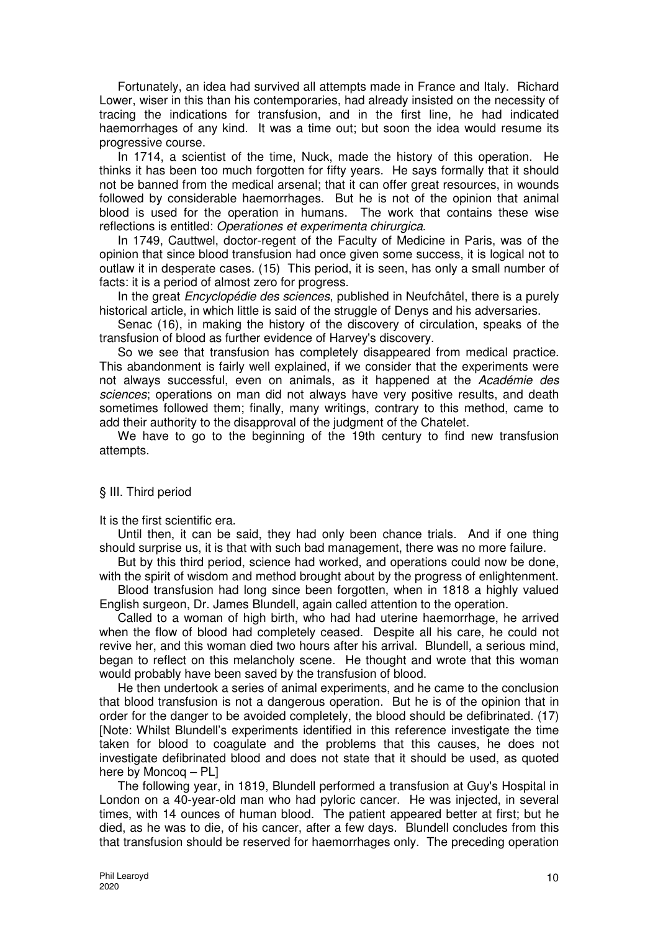Fortunately, an idea had survived all attempts made in France and Italy. Richard Lower, wiser in this than his contemporaries, had already insisted on the necessity of tracing the indications for transfusion, and in the first line, he had indicated haemorrhages of any kind. It was a time out; but soon the idea would resume its progressive course.

In 1714, a scientist of the time, Nuck, made the history of this operation. He thinks it has been too much forgotten for fifty years. He says formally that it should not be banned from the medical arsenal; that it can offer great resources, in wounds followed by considerable haemorrhages. But he is not of the opinion that animal blood is used for the operation in humans. The work that contains these wise reflections is entitled: Operationes et experimenta chirurgica.

In 1749, Cauttwel, doctor-regent of the Faculty of Medicine in Paris, was of the opinion that since blood transfusion had once given some success, it is logical not to outlaw it in desperate cases. (15) This period, it is seen, has only a small number of facts: it is a period of almost zero for progress.

In the great *Encyclopédie des sciences*, published in Neufchâtel, there is a purely historical article, in which little is said of the struggle of Denys and his adversaries.

Senac (16), in making the history of the discovery of circulation, speaks of the transfusion of blood as further evidence of Harvey's discovery.

So we see that transfusion has completely disappeared from medical practice. This abandonment is fairly well explained, if we consider that the experiments were not always successful, even on animals, as it happened at the Académie des sciences; operations on man did not always have very positive results, and death sometimes followed them; finally, many writings, contrary to this method, came to add their authority to the disapproval of the judgment of the Chatelet.

We have to go to the beginning of the 19th century to find new transfusion attempts.

### § III. Third period

It is the first scientific era.

Until then, it can be said, they had only been chance trials. And if one thing should surprise us, it is that with such bad management, there was no more failure.

But by this third period, science had worked, and operations could now be done, with the spirit of wisdom and method brought about by the progress of enlightenment.

Blood transfusion had long since been forgotten, when in 1818 a highly valued English surgeon, Dr. James Blundell, again called attention to the operation.

Called to a woman of high birth, who had had uterine haemorrhage, he arrived when the flow of blood had completely ceased. Despite all his care, he could not revive her, and this woman died two hours after his arrival. Blundell, a serious mind, began to reflect on this melancholy scene. He thought and wrote that this woman would probably have been saved by the transfusion of blood.

He then undertook a series of animal experiments, and he came to the conclusion that blood transfusion is not a dangerous operation. But he is of the opinion that in order for the danger to be avoided completely, the blood should be defibrinated. (17) [Note: Whilst Blundell's experiments identified in this reference investigate the time taken for blood to coagulate and the problems that this causes, he does not investigate defibrinated blood and does not state that it should be used, as quoted here by Moncoq – PL]

The following year, in 1819, Blundell performed a transfusion at Guy's Hospital in London on a 40-year-old man who had pyloric cancer. He was injected, in several times, with 14 ounces of human blood. The patient appeared better at first; but he died, as he was to die, of his cancer, after a few days. Blundell concludes from this that transfusion should be reserved for haemorrhages only. The preceding operation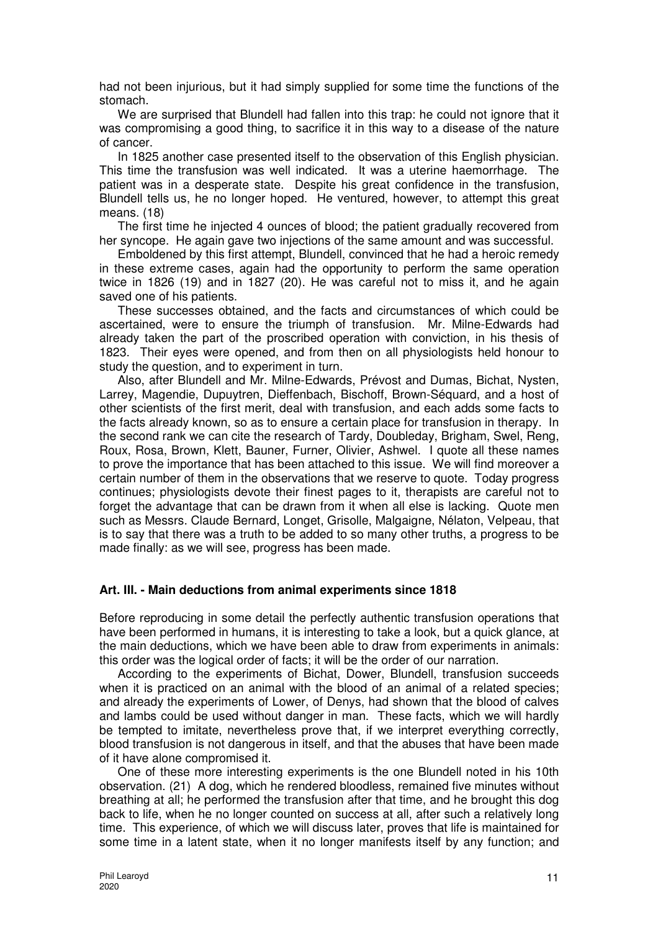had not been injurious, but it had simply supplied for some time the functions of the stomach.

We are surprised that Blundell had fallen into this trap: he could not ignore that it was compromising a good thing, to sacrifice it in this way to a disease of the nature of cancer.

In 1825 another case presented itself to the observation of this English physician. This time the transfusion was well indicated. It was a uterine haemorrhage. The patient was in a desperate state. Despite his great confidence in the transfusion, Blundell tells us, he no longer hoped. He ventured, however, to attempt this great means. (18)

The first time he injected 4 ounces of blood; the patient gradually recovered from her syncope. He again gave two injections of the same amount and was successful.

Emboldened by this first attempt, Blundell, convinced that he had a heroic remedy in these extreme cases, again had the opportunity to perform the same operation twice in 1826 (19) and in 1827 (20). He was careful not to miss it, and he again saved one of his patients.

These successes obtained, and the facts and circumstances of which could be ascertained, were to ensure the triumph of transfusion. Mr. Milne-Edwards had already taken the part of the proscribed operation with conviction, in his thesis of 1823. Their eyes were opened, and from then on all physiologists held honour to study the question, and to experiment in turn.

Also, after Blundell and Mr. Milne-Edwards, Prévost and Dumas, Bichat, Nysten, Larrey, Magendie, Dupuytren, Dieffenbach, Bischoff, Brown-Séquard, and a host of other scientists of the first merit, deal with transfusion, and each adds some facts to the facts already known, so as to ensure a certain place for transfusion in therapy. In the second rank we can cite the research of Tardy, Doubleday, Brigham, Swel, Reng, Roux, Rosa, Brown, Klett, Bauner, Furner, Olivier, Ashwel. I quote all these names to prove the importance that has been attached to this issue. We will find moreover a certain number of them in the observations that we reserve to quote. Today progress continues; physiologists devote their finest pages to it, therapists are careful not to forget the advantage that can be drawn from it when all else is lacking. Quote men such as Messrs. Claude Bernard, Longet, Grisolle, Malgaigne, Nélaton, Velpeau, that is to say that there was a truth to be added to so many other truths, a progress to be made finally: as we will see, progress has been made.

### **Art. III. - Main deductions from animal experiments since 1818**

Before reproducing in some detail the perfectly authentic transfusion operations that have been performed in humans, it is interesting to take a look, but a quick glance, at the main deductions, which we have been able to draw from experiments in animals: this order was the logical order of facts; it will be the order of our narration.

According to the experiments of Bichat, Dower, Blundell, transfusion succeeds when it is practiced on an animal with the blood of an animal of a related species; and already the experiments of Lower, of Denys, had shown that the blood of calves and lambs could be used without danger in man. These facts, which we will hardly be tempted to imitate, nevertheless prove that, if we interpret everything correctly, blood transfusion is not dangerous in itself, and that the abuses that have been made of it have alone compromised it.

One of these more interesting experiments is the one Blundell noted in his 10th observation. (21) A dog, which he rendered bloodless, remained five minutes without breathing at all; he performed the transfusion after that time, and he brought this dog back to life, when he no longer counted on success at all, after such a relatively long time. This experience, of which we will discuss later, proves that life is maintained for some time in a latent state, when it no longer manifests itself by any function; and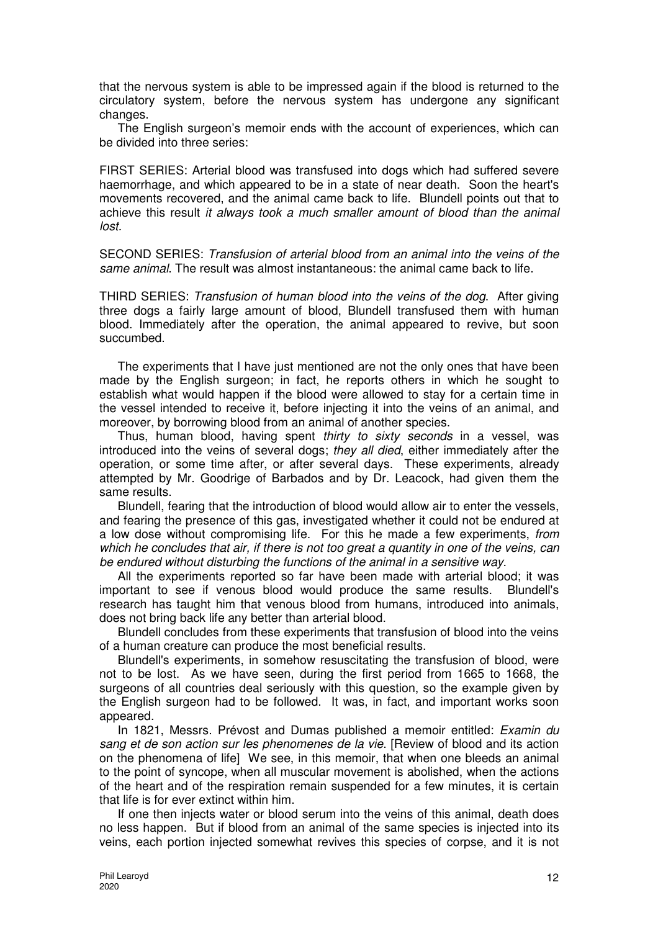that the nervous system is able to be impressed again if the blood is returned to the circulatory system, before the nervous system has undergone any significant changes.

The English surgeon's memoir ends with the account of experiences, which can be divided into three series:

FIRST SERIES: Arterial blood was transfused into dogs which had suffered severe haemorrhage, and which appeared to be in a state of near death. Soon the heart's movements recovered, and the animal came back to life. Blundell points out that to achieve this result it always took a much smaller amount of blood than the animal lost.

SECOND SERIES: Transfusion of arterial blood from an animal into the veins of the same animal. The result was almost instantaneous: the animal came back to life.

THIRD SERIES: Transfusion of human blood into the veins of the dog. After giving three dogs a fairly large amount of blood, Blundell transfused them with human blood. Immediately after the operation, the animal appeared to revive, but soon succumbed.

The experiments that I have just mentioned are not the only ones that have been made by the English surgeon; in fact, he reports others in which he sought to establish what would happen if the blood were allowed to stay for a certain time in the vessel intended to receive it, before injecting it into the veins of an animal, and moreover, by borrowing blood from an animal of another species.

Thus, human blood, having spent thirty to sixty seconds in a vessel, was introduced into the veins of several dogs; they all died, either immediately after the operation, or some time after, or after several days. These experiments, already attempted by Mr. Goodrige of Barbados and by Dr. Leacock, had given them the same results.

Blundell, fearing that the introduction of blood would allow air to enter the vessels, and fearing the presence of this gas, investigated whether it could not be endured at a low dose without compromising life. For this he made a few experiments, from which he concludes that air, if there is not too great a quantity in one of the veins, can be endured without disturbing the functions of the animal in a sensitive way.

All the experiments reported so far have been made with arterial blood; it was important to see if venous blood would produce the same results. Blundell's research has taught him that venous blood from humans, introduced into animals, does not bring back life any better than arterial blood.

Blundell concludes from these experiments that transfusion of blood into the veins of a human creature can produce the most beneficial results.

Blundell's experiments, in somehow resuscitating the transfusion of blood, were not to be lost. As we have seen, during the first period from 1665 to 1668, the surgeons of all countries deal seriously with this question, so the example given by the English surgeon had to be followed. It was, in fact, and important works soon appeared.

In 1821, Messrs. Prévost and Dumas published a memoir entitled: Examin du sang et de son action sur les phenomenes de la vie. [Review of blood and its action on the phenomena of life] We see, in this memoir, that when one bleeds an animal to the point of syncope, when all muscular movement is abolished, when the actions of the heart and of the respiration remain suspended for a few minutes, it is certain that life is for ever extinct within him.

If one then injects water or blood serum into the veins of this animal, death does no less happen. But if blood from an animal of the same species is injected into its veins, each portion injected somewhat revives this species of corpse, and it is not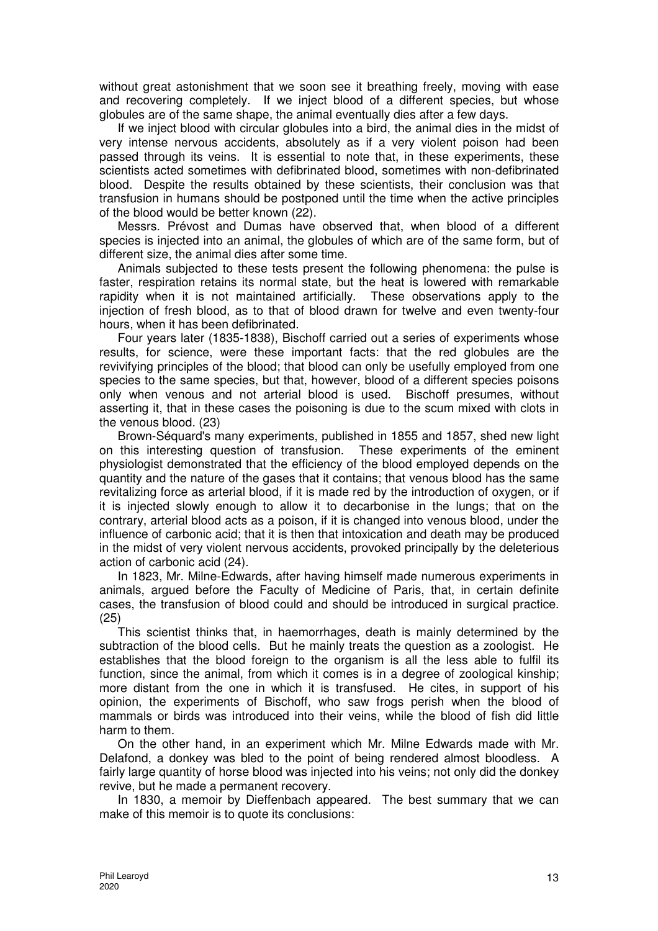without great astonishment that we soon see it breathing freely, moving with ease and recovering completely. If we inject blood of a different species, but whose globules are of the same shape, the animal eventually dies after a few days.

If we inject blood with circular globules into a bird, the animal dies in the midst of very intense nervous accidents, absolutely as if a very violent poison had been passed through its veins. It is essential to note that, in these experiments, these scientists acted sometimes with defibrinated blood, sometimes with non-defibrinated blood. Despite the results obtained by these scientists, their conclusion was that transfusion in humans should be postponed until the time when the active principles of the blood would be better known (22).

Messrs. Prévost and Dumas have observed that, when blood of a different species is injected into an animal, the globules of which are of the same form, but of different size, the animal dies after some time.

Animals subjected to these tests present the following phenomena: the pulse is faster, respiration retains its normal state, but the heat is lowered with remarkable rapidity when it is not maintained artificially. These observations apply to the injection of fresh blood, as to that of blood drawn for twelve and even twenty-four hours, when it has been defibrinated.

Four years later (1835-1838), Bischoff carried out a series of experiments whose results, for science, were these important facts: that the red globules are the revivifying principles of the blood; that blood can only be usefully employed from one species to the same species, but that, however, blood of a different species poisons only when venous and not arterial blood is used. Bischoff presumes, without asserting it, that in these cases the poisoning is due to the scum mixed with clots in the venous blood. (23)

Brown-Séquard's many experiments, published in 1855 and 1857, shed new light on this interesting question of transfusion. These experiments of the eminent physiologist demonstrated that the efficiency of the blood employed depends on the quantity and the nature of the gases that it contains; that venous blood has the same revitalizing force as arterial blood, if it is made red by the introduction of oxygen, or if it is injected slowly enough to allow it to decarbonise in the lungs; that on the contrary, arterial blood acts as a poison, if it is changed into venous blood, under the influence of carbonic acid; that it is then that intoxication and death may be produced in the midst of very violent nervous accidents, provoked principally by the deleterious action of carbonic acid (24).

In 1823, Mr. Milne-Edwards, after having himself made numerous experiments in animals, argued before the Faculty of Medicine of Paris, that, in certain definite cases, the transfusion of blood could and should be introduced in surgical practice. (25)

This scientist thinks that, in haemorrhages, death is mainly determined by the subtraction of the blood cells. But he mainly treats the question as a zoologist. He establishes that the blood foreign to the organism is all the less able to fulfil its function, since the animal, from which it comes is in a degree of zoological kinship; more distant from the one in which it is transfused. He cites, in support of his opinion, the experiments of Bischoff, who saw frogs perish when the blood of mammals or birds was introduced into their veins, while the blood of fish did little harm to them.

On the other hand, in an experiment which Mr. Milne Edwards made with Mr. Delafond, a donkey was bled to the point of being rendered almost bloodless. A fairly large quantity of horse blood was injected into his veins; not only did the donkey revive, but he made a permanent recovery.

In 1830, a memoir by Dieffenbach appeared. The best summary that we can make of this memoir is to quote its conclusions: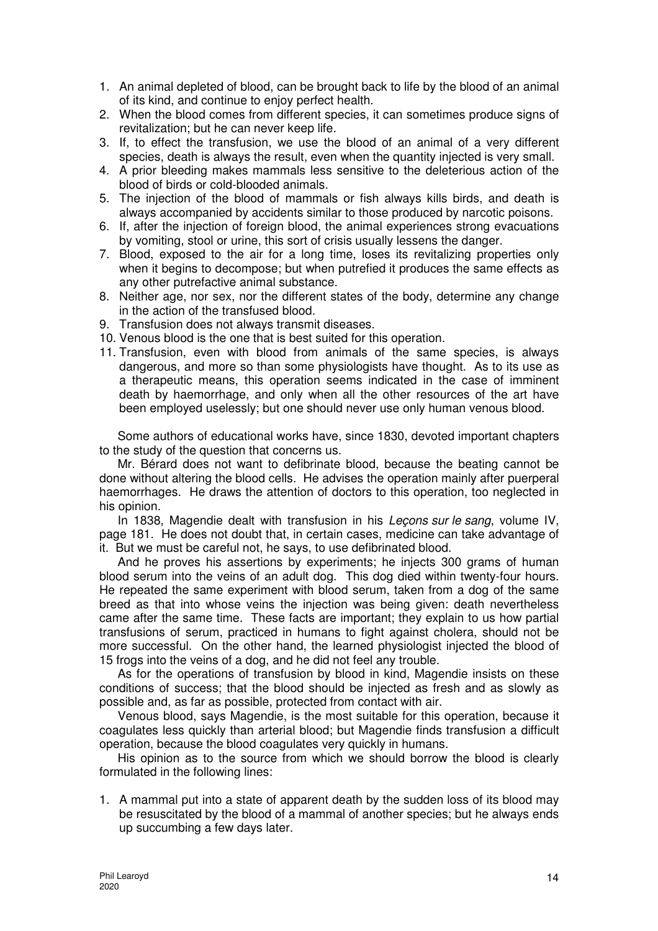- 1. An animal depleted of blood, can be brought back to life by the blood of an animal of its kind, and continue to enjoy perfect health.
- 2. When the blood comes from different species, it can sometimes produce signs of revitalization; but he can never keep life.
- 3. If, to effect the transfusion, we use the blood of an animal of a very different species, death is always the result, even when the quantity injected is very small.
- 4. A prior bleeding makes mammals less sensitive to the deleterious action of the blood of birds or cold-blooded animals.
- 5. The injection of the blood of mammals or fish always kills birds, and death is always accompanied by accidents similar to those produced by narcotic poisons.
- 6. If, after the injection of foreign blood, the animal experiences strong evacuations by vomiting, stool or urine, this sort of crisis usually lessens the danger.
- 7. Blood, exposed to the air for a long time, loses its revitalizing properties only when it begins to decompose; but when putrefied it produces the same effects as any other putrefactive animal substance.
- 8. Neither age, nor sex, nor the different states of the body, determine any change in the action of the transfused blood.
- 9. Transfusion does not always transmit diseases.
- 10. Venous blood is the one that is best suited for this operation.
- 11. Transfusion, even with blood from animals of the same species, is always dangerous, and more so than some physiologists have thought. As to its use as a therapeutic means, this operation seems indicated in the case of imminent death by haemorrhage, and only when all the other resources of the art have been employed uselessly; but one should never use only human venous blood.

Some authors of educational works have, since 1830, devoted important chapters to the study of the question that concerns us.

Mr. Bérard does not want to defibrinate blood, because the beating cannot be done without altering the blood cells. He advises the operation mainly after puerperal haemorrhages. He draws the attention of doctors to this operation, too neglected in his opinion.

In 1838, Magendie dealt with transfusion in his Lecons sur le sang, volume IV, page 181. He does not doubt that, in certain cases, medicine can take advantage of it. But we must be careful not, he says, to use defibrinated blood.

And he proves his assertions by experiments; he injects 300 grams of human blood serum into the veins of an adult dog. This dog died within twenty-four hours. He repeated the same experiment with blood serum, taken from a dog of the same breed as that into whose veins the injection was being given: death nevertheless came after the same time. These facts are important; they explain to us how partial transfusions of serum, practiced in humans to fight against cholera, should not be more successful. On the other hand, the learned physiologist injected the blood of 15 frogs into the veins of a dog, and he did not feel any trouble.

As for the operations of transfusion by blood in kind, Magendie insists on these conditions of success; that the blood should be injected as fresh and as slowly as possible and, as far as possible, protected from contact with air.

Venous blood, says Magendie, is the most suitable for this operation, because it coagulates less quickly than arterial blood; but Magendie finds transfusion a difficult operation, because the blood coagulates very quickly in humans.

His opinion as to the source from which we should borrow the blood is clearly formulated in the following lines:

1. A mammal put into a state of apparent death by the sudden loss of its blood may be resuscitated by the blood of a mammal of another species; but he always ends up succumbing a few days later.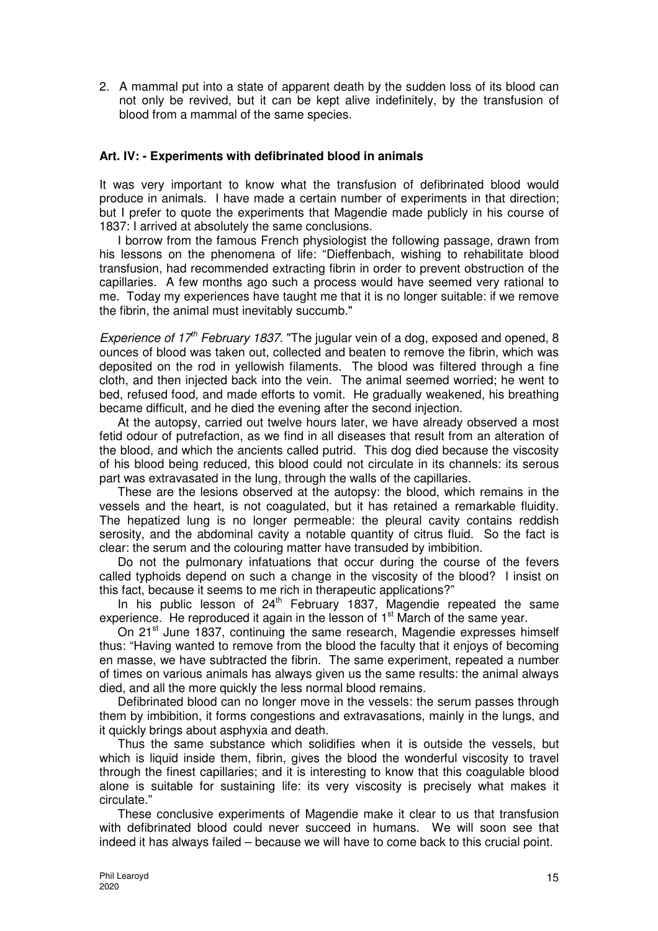2. A mammal put into a state of apparent death by the sudden loss of its blood can not only be revived, but it can be kept alive indefinitely, by the transfusion of blood from a mammal of the same species.

## **Art. IV: - Experiments with defibrinated blood in animals**

It was very important to know what the transfusion of defibrinated blood would produce in animals. I have made a certain number of experiments in that direction; but I prefer to quote the experiments that Magendie made publicly in his course of 1837: I arrived at absolutely the same conclusions.

I borrow from the famous French physiologist the following passage, drawn from his lessons on the phenomena of life: "Dieffenbach, wishing to rehabilitate blood transfusion, had recommended extracting fibrin in order to prevent obstruction of the capillaries. A few months ago such a process would have seemed very rational to me. Today my experiences have taught me that it is no longer suitable: if we remove the fibrin, the animal must inevitably succumb."

Experience of  $17<sup>th</sup>$  February 1837. "The jugular vein of a dog, exposed and opened, 8 ounces of blood was taken out, collected and beaten to remove the fibrin, which was deposited on the rod in yellowish filaments. The blood was filtered through a fine cloth, and then injected back into the vein. The animal seemed worried; he went to bed, refused food, and made efforts to vomit. He gradually weakened, his breathing became difficult, and he died the evening after the second injection.

At the autopsy, carried out twelve hours later, we have already observed a most fetid odour of putrefaction, as we find in all diseases that result from an alteration of the blood, and which the ancients called putrid. This dog died because the viscosity of his blood being reduced, this blood could not circulate in its channels: its serous part was extravasated in the lung, through the walls of the capillaries.

These are the lesions observed at the autopsy: the blood, which remains in the vessels and the heart, is not coagulated, but it has retained a remarkable fluidity. The hepatized lung is no longer permeable: the pleural cavity contains reddish serosity, and the abdominal cavity a notable quantity of citrus fluid. So the fact is clear: the serum and the colouring matter have transuded by imbibition.

Do not the pulmonary infatuations that occur during the course of the fevers called typhoids depend on such a change in the viscosity of the blood? I insist on this fact, because it seems to me rich in therapeutic applications?"

In his public lesson of  $24<sup>th</sup>$  February 1837, Magendie repeated the same experience. He reproduced it again in the lesson of 1<sup>st</sup> March of the same year.

On 21<sup>st</sup> June 1837, continuing the same research, Magendie expresses himself thus: "Having wanted to remove from the blood the faculty that it enjoys of becoming en masse, we have subtracted the fibrin. The same experiment, repeated a number of times on various animals has always given us the same results: the animal always died, and all the more quickly the less normal blood remains.

Defibrinated blood can no longer move in the vessels: the serum passes through them by imbibition, it forms congestions and extravasations, mainly in the lungs, and it quickly brings about asphyxia and death.

Thus the same substance which solidifies when it is outside the vessels, but which is liquid inside them, fibrin, gives the blood the wonderful viscosity to travel through the finest capillaries; and it is interesting to know that this coagulable blood alone is suitable for sustaining life: its very viscosity is precisely what makes it circulate."

These conclusive experiments of Magendie make it clear to us that transfusion with defibrinated blood could never succeed in humans. We will soon see that indeed it has always failed – because we will have to come back to this crucial point.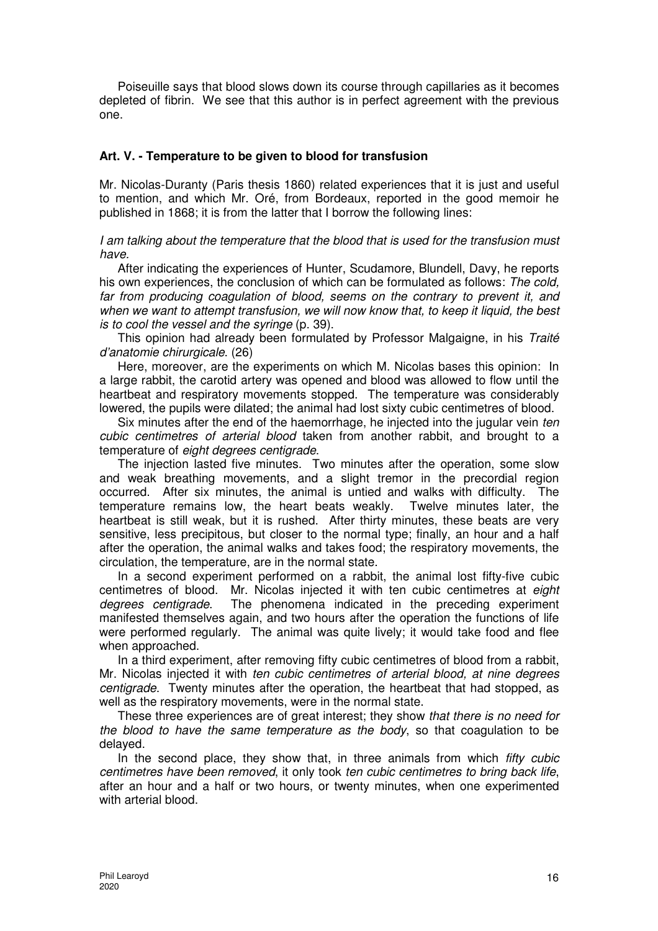Poiseuille says that blood slows down its course through capillaries as it becomes depleted of fibrin. We see that this author is in perfect agreement with the previous one.

## **Art. V. - Temperature to be given to blood for transfusion**

Mr. Nicolas-Duranty (Paris thesis 1860) related experiences that it is just and useful to mention, and which Mr. Oré, from Bordeaux, reported in the good memoir he published in 1868; it is from the latter that I borrow the following lines:

I am talking about the temperature that the blood that is used for the transfusion must have.

After indicating the experiences of Hunter, Scudamore, Blundell, Davy, he reports his own experiences, the conclusion of which can be formulated as follows: The cold, far from producing coagulation of blood, seems on the contrary to prevent it, and when we want to attempt transfusion, we will now know that, to keep it liquid, the best is to cool the vessel and the syringe (p. 39).

This opinion had already been formulated by Professor Malgaigne, in his Traité d'anatomie chirurgicale. (26)

Here, moreover, are the experiments on which M. Nicolas bases this opinion: In a large rabbit, the carotid artery was opened and blood was allowed to flow until the heartbeat and respiratory movements stopped. The temperature was considerably lowered, the pupils were dilated; the animal had lost sixty cubic centimetres of blood.

Six minutes after the end of the haemorrhage, he injected into the jugular vein ten cubic centimetres of arterial blood taken from another rabbit, and brought to a temperature of eight degrees centigrade.

The injection lasted five minutes. Two minutes after the operation, some slow and weak breathing movements, and a slight tremor in the precordial region occurred. After six minutes, the animal is untied and walks with difficulty. The temperature remains low, the heart beats weakly. Twelve minutes later, the heartbeat is still weak, but it is rushed. After thirty minutes, these beats are very sensitive, less precipitous, but closer to the normal type; finally, an hour and a half after the operation, the animal walks and takes food; the respiratory movements, the circulation, the temperature, are in the normal state.

In a second experiment performed on a rabbit, the animal lost fifty-five cubic centimetres of blood. Mr. Nicolas injected it with ten cubic centimetres at eight degrees centigrade. The phenomena indicated in the preceding experiment manifested themselves again, and two hours after the operation the functions of life were performed regularly. The animal was quite lively; it would take food and flee when approached.

In a third experiment, after removing fifty cubic centimetres of blood from a rabbit, Mr. Nicolas injected it with ten cubic centimetres of arterial blood, at nine degrees centigrade. Twenty minutes after the operation, the heartbeat that had stopped, as well as the respiratory movements, were in the normal state.

These three experiences are of great interest; they show that there is no need for the blood to have the same temperature as the body, so that coagulation to be delayed.

In the second place, they show that, in three animals from which *fifty cubic* centimetres have been removed, it only took ten cubic centimetres to bring back life, after an hour and a half or two hours, or twenty minutes, when one experimented with arterial blood.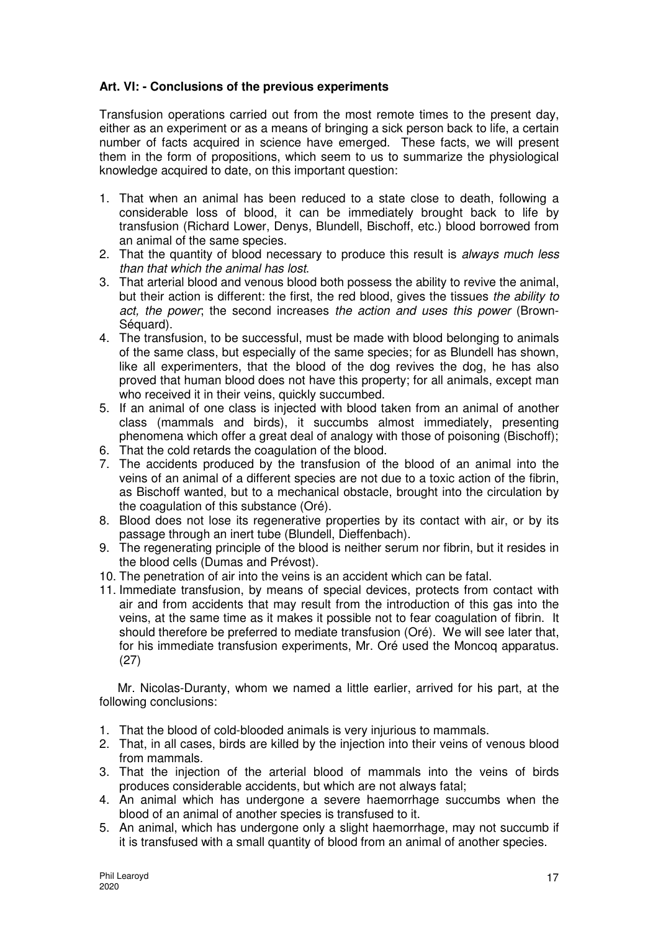# **Art. VI: - Conclusions of the previous experiments**

Transfusion operations carried out from the most remote times to the present day, either as an experiment or as a means of bringing a sick person back to life, a certain number of facts acquired in science have emerged. These facts, we will present them in the form of propositions, which seem to us to summarize the physiological knowledge acquired to date, on this important question:

- 1. That when an animal has been reduced to a state close to death, following a considerable loss of blood, it can be immediately brought back to life by transfusion (Richard Lower, Denys, Blundell, Bischoff, etc.) blood borrowed from an animal of the same species.
- 2. That the quantity of blood necessary to produce this result is always much less than that which the animal has lost.
- 3. That arterial blood and venous blood both possess the ability to revive the animal, but their action is different: the first, the red blood, gives the tissues the ability to act, the power; the second increases the action and uses this power (Brown-Séquard).
- 4. The transfusion, to be successful, must be made with blood belonging to animals of the same class, but especially of the same species; for as Blundell has shown, like all experimenters, that the blood of the dog revives the dog, he has also proved that human blood does not have this property; for all animals, except man who received it in their veins, quickly succumbed.
- 5. If an animal of one class is injected with blood taken from an animal of another class (mammals and birds), it succumbs almost immediately, presenting phenomena which offer a great deal of analogy with those of poisoning (Bischoff);
- 6. That the cold retards the coagulation of the blood.
- 7. The accidents produced by the transfusion of the blood of an animal into the veins of an animal of a different species are not due to a toxic action of the fibrin, as Bischoff wanted, but to a mechanical obstacle, brought into the circulation by the coagulation of this substance (Oré).
- 8. Blood does not lose its regenerative properties by its contact with air, or by its passage through an inert tube (Blundell, Dieffenbach).
- 9. The regenerating principle of the blood is neither serum nor fibrin, but it resides in the blood cells (Dumas and Prévost).
- 10. The penetration of air into the veins is an accident which can be fatal.
- 11. Immediate transfusion, by means of special devices, protects from contact with air and from accidents that may result from the introduction of this gas into the veins, at the same time as it makes it possible not to fear coagulation of fibrin. It should therefore be preferred to mediate transfusion (Oré). We will see later that, for his immediate transfusion experiments, Mr. Oré used the Moncoq apparatus. (27)

Mr. Nicolas-Duranty, whom we named a little earlier, arrived for his part, at the following conclusions:

- 1. That the blood of cold-blooded animals is very injurious to mammals.
- 2. That, in all cases, birds are killed by the injection into their veins of venous blood from mammals.
- 3. That the injection of the arterial blood of mammals into the veins of birds produces considerable accidents, but which are not always fatal;
- 4. An animal which has undergone a severe haemorrhage succumbs when the blood of an animal of another species is transfused to it.
- 5. An animal, which has undergone only a slight haemorrhage, may not succumb if it is transfused with a small quantity of blood from an animal of another species.